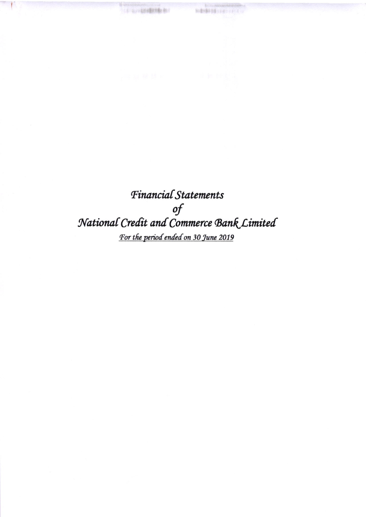Financial Statements of<br>National Credit and Commerce Bank Limited For the period ended on 30 June 2019

**Web** 

**MARINE INTERVIEW** 

Ÿ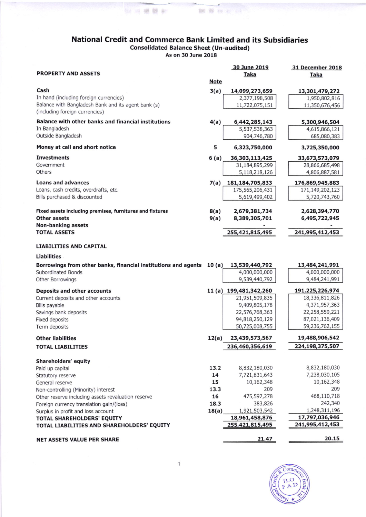## National Credit and Commerce Bank Limited and its Subsidiaries Consolidated Balance Sheet (Un-audited) As on 30 June 2018

**图 24 键键和 图 键 键 图 14** 

| <b>PROPERTY AND ASSETS</b>                                            |             | 30 June 2019<br><b>Taka</b> | 31 December 2018<br><b>Taka</b>   |
|-----------------------------------------------------------------------|-------------|-----------------------------|-----------------------------------|
|                                                                       | <b>Note</b> |                             |                                   |
| Cash                                                                  | 3(a)        | 14,099,273,659              | 13,301,479,272                    |
| In hand (including foreign currencies)                                |             | 2,377,198,508               | 1,950,802,816                     |
| Balance with Bangladesh Bank and its agent bank (s)                   |             | 11,722,075,151              | 11,350,676,456                    |
| (including foreign currencies)                                        |             |                             |                                   |
| Balance with other banks and financial institutions                   | 4(a)        | 6,442,285,143               | 5,300,946,504                     |
| In Bangladesh                                                         |             | 5,537,538,363               | 4,615,866,121                     |
| Outside Bangladesh                                                    |             | 904,746,780                 | 685,080,383                       |
| Money at call and short notice                                        | 5           | 6,323,750,000               | 3,725,350,000                     |
| <b>Investments</b>                                                    | 6(a)        | 36,303,113,425              | 33,673,573,079                    |
| Government                                                            |             | 31,184,895,299              | 28,866,685,498                    |
| Others                                                                |             | 5,118,218,126               | 4,806,887,581                     |
| <b>Loans and advances</b>                                             | 7(a)        | 181, 184, 705, 833          | 176,869,945,883                   |
| Loans, cash credits, overdrafts, etc.                                 |             | 175,565,206,431             | 171,149,202,123                   |
| Bills purchased & discounted                                          |             | 5,619,499,402               | 5,720,743,760                     |
|                                                                       |             |                             |                                   |
| Fixed assets including premises, furnitures and fixtures              | 8(a)        | 2,679,381,734               | 2,628,394,770                     |
| <b>Other assets</b>                                                   | 9(a)        | 8,389,305,701               | 6,495,722,945                     |
| Non-banking assets<br><b>TOTAL ASSETS</b>                             |             | 255,421,815,495             | 241,995,412,453                   |
|                                                                       |             |                             |                                   |
| <b>LIABILITIES AND CAPITAL</b>                                        |             |                             |                                   |
| <b>Liabilities</b>                                                    |             |                             |                                   |
| Borrowings from other banks, financial institutions and agents 10 (a) |             | 13,539,440,792              | 13,484,241,991                    |
| Subordinated Bonds                                                    |             | 4,000,000,000               | 4,000,000,000                     |
| Other Borrowings                                                      |             | 9,539,440,792               | 9,484,241,991                     |
| Deposits and other accounts                                           |             | 11 (a) 199,481,342,260      | 191,225,226,974                   |
| Current deposits and other accounts                                   |             | 21,951,509,835              | 18,336,811,826                    |
| Bills payable                                                         |             | 9,409,805,178               | 4,371,957,363                     |
| Savings bank deposits                                                 |             | 22,576,768,363              | 22,258,559,221                    |
| Fixed deposits                                                        |             | 94,818,250,129              | 87,021,136,409                    |
| Term deposits                                                         |             | 50,725,008,755              | 59,236,762,155                    |
| <b>Other liabilities</b>                                              | 12(a)       | 23,439,573,567              | 19,488,906,542                    |
| <b>TOTAL LIABILITIES</b>                                              |             | 236,460,356,619             | 224,198,375,507                   |
| Shareholders' equity                                                  |             |                             |                                   |
| Paid up capital                                                       | 13.2        | 8,832,180,030               | 8,832,180,030                     |
| Statutory reserve                                                     | 14          | 7,721,631,643               | 7,238,030,105                     |
| General reserve                                                       | 15          | 10,162,348                  | 10,162,348                        |
| Non-controlling (Minority) interest                                   | 13.3        | 209                         | 209                               |
| Other reserve including assets revaluation reserve                    | 16          | 475,597,278                 | 468,110,718                       |
| Foreign currency translation gain/(loss)                              | 18.3        | 383,826                     | 242,340                           |
| Surplus in profit and loss account                                    | 18(a)       | 1,921,503,542               | 1,248,311,196                     |
| TOTAL SHAREHOLDERS' EQUITY                                            |             | 18,961,458,876              | 17,797,036,946<br>241,995,412,453 |
| TOTAL LIABILITIES AND SHAREHOLDERS' EQUITY                            |             | 255,421,815,495             |                                   |
| <b>NET ASSETS VALUE PER SHARE</b>                                     |             | 21.47                       | 20.15                             |